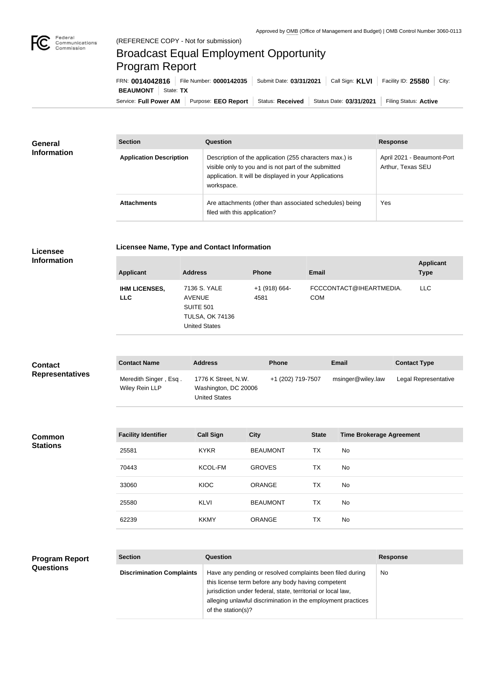

**Licensee** 

## Broadcast Equal Employment Opportunity Program Report

**Licensee Name, Type and Contact Information**

Service: Full Power AM | Purpose: EEO Report | Status: Received | Status Date: 03/31/2021 | Filing Status: Active **BEAUMONT** State: TX FRN: **0014042816** File Number: **0000142035** Submit Date: **03/31/2021** Call Sign: **KLVI** Facility ID: **25580** City:

| General<br><b>Information</b> | <b>Section</b>                 | Question                                                                                                                                                                                | <b>Response</b>                                 |
|-------------------------------|--------------------------------|-----------------------------------------------------------------------------------------------------------------------------------------------------------------------------------------|-------------------------------------------------|
|                               | <b>Application Description</b> | Description of the application (255 characters max.) is<br>visible only to you and is not part of the submitted<br>application. It will be displayed in your Applications<br>workspace. | April 2021 - Beaumont-Port<br>Arthur, Texas SEU |
|                               | <b>Attachments</b>             | Are attachments (other than associated schedules) being<br>filed with this application?                                                                                                 | Yes                                             |

| <b>Information</b>                       | <b>Applicant</b>                   | <b>Address</b>                                                                                      | <b>Phone</b>          | <b>Email</b>                          | <b>Applicant</b><br><b>Type</b> |
|------------------------------------------|------------------------------------|-----------------------------------------------------------------------------------------------------|-----------------------|---------------------------------------|---------------------------------|
|                                          | <b>IHM LICENSES,</b><br><b>LLC</b> | 7136 S. YALE<br><b>AVENUE</b><br><b>SUITE 501</b><br><b>TULSA, OK 74136</b><br><b>United States</b> | +1 (918) 664-<br>4581 | FCCCONTACT@IHEARTMEDIA.<br><b>COM</b> | <b>LLC</b>                      |
| <b>Contact</b><br><b>Representatives</b> | <b>Contact Name</b>                | <b>Address</b>                                                                                      | <b>Phone</b>          | <b>Email</b>                          | <b>Contact Type</b>             |

| <b>Contact</b>         | <b>Contact Name</b>                     | <b>Address</b>                                               | Phone             | Email             | <b>Contact Type</b>  |
|------------------------|-----------------------------------------|--------------------------------------------------------------|-------------------|-------------------|----------------------|
| <b>Representatives</b> | Meredith Singer, Esq.<br>Wiley Rein LLP | 1776 K Street, N.W.<br>Washington, DC 20006<br>United States | +1 (202) 719-7507 | msinger@wiley.law | Legal Representative |
|                        |                                         |                                                              |                   |                   |                      |

| <b>Common</b><br><b>Stations</b> | <b>Facility Identifier</b> | <b>Call Sign</b> | <b>City</b>     | <b>State</b> | <b>Time Brokerage Agreement</b> |
|----------------------------------|----------------------------|------------------|-----------------|--------------|---------------------------------|
|                                  | 25581                      | <b>KYKR</b>      | <b>BEAUMONT</b> | <b>TX</b>    | No                              |
|                                  | 70443                      | KCOL-FM          | <b>GROVES</b>   | <b>TX</b>    | No                              |
|                                  | 33060                      | KIOC             | <b>ORANGE</b>   | <b>TX</b>    | No                              |
|                                  | 25580                      | <b>KLVI</b>      | <b>BEAUMONT</b> | <b>TX</b>    | No                              |
|                                  | 62239                      | <b>KKMY</b>      | <b>ORANGE</b>   | ТX           | No                              |

| <b>Program Report</b> |
|-----------------------|
| <b>Questions</b>      |

| <b>Section</b>                   | Question                                                                                                                                                                                                                                                              | <b>Response</b> |
|----------------------------------|-----------------------------------------------------------------------------------------------------------------------------------------------------------------------------------------------------------------------------------------------------------------------|-----------------|
| <b>Discrimination Complaints</b> | Have any pending or resolved complaints been filed during<br>this license term before any body having competent<br>jurisdiction under federal, state, territorial or local law,<br>alleging unlawful discrimination in the employment practices<br>of the station(s)? | <b>No</b>       |